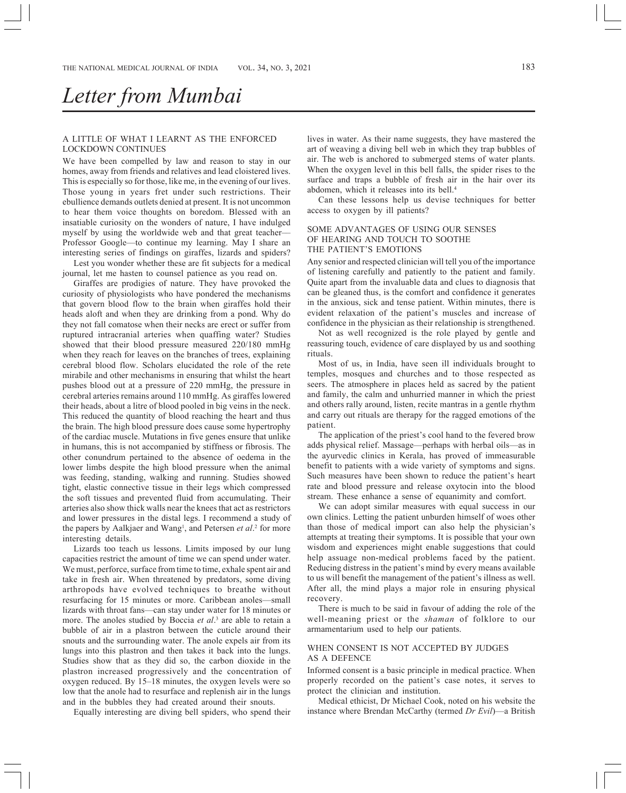# *Letter from Mumbai*

## A LITTLE OF WHAT I LEARNT AS THE ENFORCED LOCKDOWN CONTINUES

We have been compelled by law and reason to stay in our homes, away from friends and relatives and lead cloistered lives. This is especially so for those, like me, in the evening of our lives. Those young in years fret under such restrictions. Their ebullience demands outlets denied at present. It is not uncommon to hear them voice thoughts on boredom. Blessed with an insatiable curiosity on the wonders of nature, I have indulged myself by using the worldwide web and that great teacher-Professor Google—to continue my learning. May I share an interesting series of findings on giraffes, lizards and spiders?

Lest you wonder whether these are fit subjects for a medical journal, let me hasten to counsel patience as you read on.

Giraffes are prodigies of nature. They have provoked the curiosity of physiologists who have pondered the mechanisms that govern blood flow to the brain when giraffes hold their heads aloft and when they are drinking from a pond. Why do they not fall comatose when their necks are erect or suffer from ruptured intracranial arteries when quaffing water? Studies showed that their blood pressure measured 220/180 mmHg when they reach for leaves on the branches of trees, explaining cerebral blood flow. Scholars elucidated the role of the rete mirabile and other mechanisms in ensuring that whilst the heart pushes blood out at a pressure of 220 mmHg, the pressure in cerebral arteries remains around 110 mmHg. As giraffes lowered their heads, about a litre of blood pooled in big veins in the neck. This reduced the quantity of blood reaching the heart and thus the brain. The high blood pressure does cause some hypertrophy of the cardiac muscle. Mutations in five genes ensure that unlike in humans, this is not accompanied by stiffness or fibrosis. The other conundrum pertained to the absence of oedema in the lower limbs despite the high blood pressure when the animal was feeding, standing, walking and running. Studies showed tight, elastic connective tissue in their legs which compressed the soft tissues and prevented fluid from accumulating. Their arteries also show thick walls near the knees that act as restrictors and lower pressures in the distal legs. I recommend a study of the papers by Aalkjaer and Wang<sup>1</sup>, and Petersen *et al*.<sup>2</sup> for more interesting details.

Lizards too teach us lessons. Limits imposed by our lung capacities restrict the amount of time we can spend under water. We must, perforce, surface from time to time, exhale spent air and take in fresh air. When threatened by predators, some diving arthropods have evolved techniques to breathe without resurfacing for 15 minutes or more. Caribbean anoles—small lizards with throat fans—can stay under water for 18 minutes or more. The anoles studied by Boccia *et al*. 3 are able to retain a bubble of air in a plastron between the cuticle around their snouts and the surrounding water. The anole expels air from its lungs into this plastron and then takes it back into the lungs. Studies show that as they did so, the carbon dioxide in the plastron increased progressively and the concentration of oxygen reduced. By 15–18 minutes, the oxygen levels were so low that the anole had to resurface and replenish air in the lungs and in the bubbles they had created around their snouts.

Equally interesting are diving bell spiders, who spend their

lives in water. As their name suggests, they have mastered the art of weaving a diving bell web in which they trap bubbles of air. The web is anchored to submerged stems of water plants. When the oxygen level in this bell falls, the spider rises to the surface and traps a bubble of fresh air in the hair over its abdomen, which it releases into its bell.4

Can these lessons help us devise techniques for better access to oxygen by ill patients?

#### SOME ADVANTAGES OF USING OUR SENSES OF HEARING AND TOUCH TO SOOTHE THE PATIENT'S EMOTIONS

Any senior and respected clinician will tell you of the importance of listening carefully and patiently to the patient and family. Quite apart from the invaluable data and clues to diagnosis that can be gleaned thus, is the comfort and confidence it generates in the anxious, sick and tense patient. Within minutes, there is evident relaxation of the patient's muscles and increase of confidence in the physician as their relationship is strengthened.

Not as well recognized is the role played by gentle and reassuring touch, evidence of care displayed by us and soothing rituals.

Most of us, in India, have seen ill individuals brought to temples, mosques and churches and to those respected as seers. The atmosphere in places held as sacred by the patient and family, the calm and unhurried manner in which the priest and others rally around, listen, recite mantras in a gentle rhythm and carry out rituals are therapy for the ragged emotions of the patient.

The application of the priest's cool hand to the fevered brow adds physical relief. Massage—perhaps with herbal oils—as in the ayurvedic clinics in Kerala, has proved of immeasurable benefit to patients with a wide variety of symptoms and signs. Such measures have been shown to reduce the patient's heart rate and blood pressure and release oxytocin into the blood stream. These enhance a sense of equanimity and comfort.

We can adopt similar measures with equal success in our own clinics. Letting the patient unburden himself of woes other than those of medical import can also help the physician's attempts at treating their symptoms. It is possible that your own wisdom and experiences might enable suggestions that could help assuage non-medical problems faced by the patient. Reducing distress in the patient's mind by every means available to us will benefit the management of the patient's illness as well. After all, the mind plays a major role in ensuring physical recovery.

There is much to be said in favour of adding the role of the well-meaning priest or the *shaman* of folklore to our armamentarium used to help our patients.

### WHEN CONSENT IS NOT ACCEPTED BY JUDGES AS A DEFENCE

Informed consent is a basic principle in medical practice. When properly recorded on the patient's case notes, it serves to protect the clinician and institution.

Medical ethicist, Dr Michael Cook, noted on his website the instance where Brendan McCarthy (termed *Dr Evil*)—a British